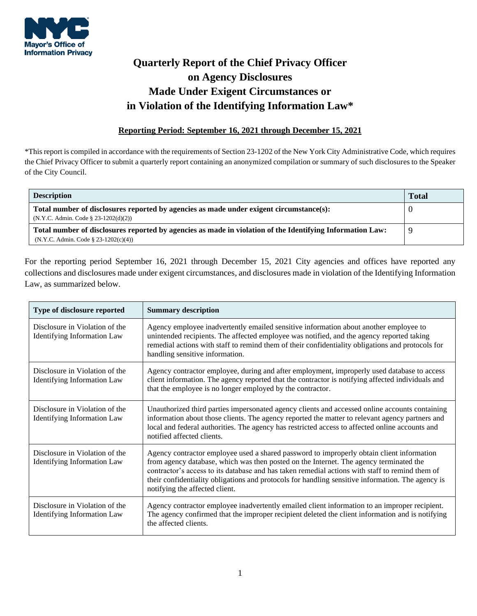

## **Quarterly Report of the Chief Privacy Officer on Agency Disclosures Made Under Exigent Circumstances or in Violation of the Identifying Information Law\***

## **Reporting Period: September 16, 2021 through December 15, 2021**

\*This report is compiled in accordance with the requirements of Section 23-1202 of the New York City Administrative Code, which requires the Chief Privacy Officer to submit a quarterly report containing an anonymized compilation or summary of such disclosures to the Speaker of the City Council.

| <b>Description</b>                                                                                        | <b>Total</b> |
|-----------------------------------------------------------------------------------------------------------|--------------|
| Total number of disclosures reported by agencies as made under exigent circumstance(s):                   |              |
| $(N.Y.C. Admin. Code § 23-1202(d)(2))$                                                                    |              |
| Total number of disclosures reported by agencies as made in violation of the Identifying Information Law: |              |
| $(N.Y.C. Admin. Code § 23-1202(c)(4))$                                                                    |              |

For the reporting period September 16, 2021 through December 15, 2021 City agencies and offices have reported any collections and disclosures made under exigent circumstances, and disclosures made in violation of the Identifying Information Law, as summarized below.

| Type of disclosure reported                                          | <b>Summary description</b>                                                                                                                                                                                                                                                                                                                                                                                                    |
|----------------------------------------------------------------------|-------------------------------------------------------------------------------------------------------------------------------------------------------------------------------------------------------------------------------------------------------------------------------------------------------------------------------------------------------------------------------------------------------------------------------|
| Disclosure in Violation of the<br><b>Identifying Information Law</b> | Agency employee inadvertently emailed sensitive information about another employee to<br>unintended recipients. The affected employee was notified, and the agency reported taking<br>remedial actions with staff to remind them of their confidentiality obligations and protocols for<br>handling sensitive information.                                                                                                    |
| Disclosure in Violation of the<br><b>Identifying Information Law</b> | Agency contractor employee, during and after employment, improperly used database to access<br>client information. The agency reported that the contractor is notifying affected individuals and<br>that the employee is no longer employed by the contractor.                                                                                                                                                                |
| Disclosure in Violation of the<br><b>Identifying Information Law</b> | Unauthorized third parties impersonated agency clients and accessed online accounts containing<br>information about those clients. The agency reported the matter to relevant agency partners and<br>local and federal authorities. The agency has restricted access to affected online accounts and<br>notified affected clients.                                                                                            |
| Disclosure in Violation of the<br><b>Identifying Information Law</b> | Agency contractor employee used a shared password to improperly obtain client information<br>from agency database, which was then posted on the Internet. The agency terminated the<br>contractor's access to its database and has taken remedial actions with staff to remind them of<br>their confidentiality obligations and protocols for handling sensitive information. The agency is<br>notifying the affected client. |
| Disclosure in Violation of the<br><b>Identifying Information Law</b> | Agency contractor employee inadvertently emailed client information to an improper recipient.<br>The agency confirmed that the improper recipient deleted the client information and is notifying<br>the affected clients.                                                                                                                                                                                                    |